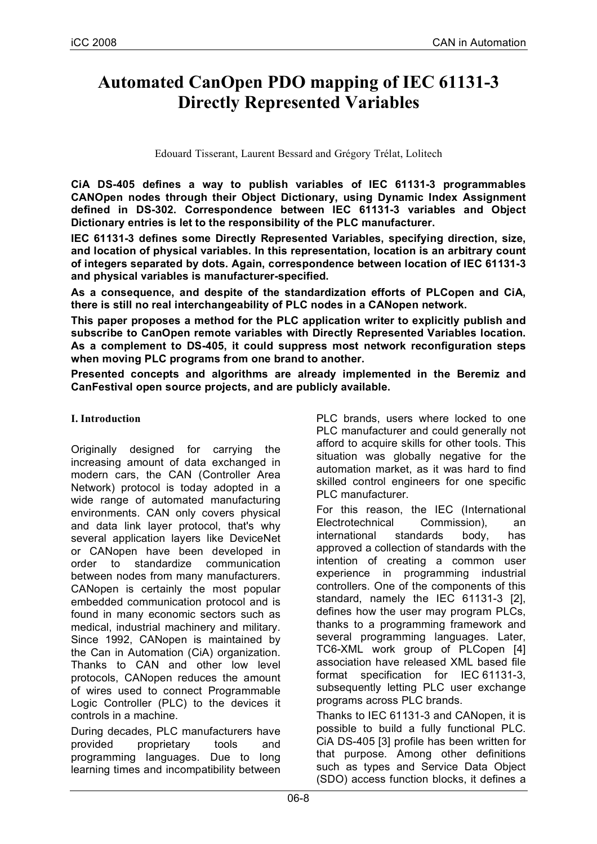# **Automated CanOpen PDO mapping of IEC 61131-3 Directly Represented Variables**

Edouard Tisserant, Laurent Bessard and Grégory Trélat, Lolitech

**CiA DS-405 defines a way to publish variables of IEC 61131-3 programmables CANOpen nodes through their Object Dictionary, using Dynamic Index Assignment defined in DS-302. Correspondence between IEC 61131-3 variables and Object Dictionary entries is let to the responsibility of the PLC manufacturer.**

**IEC 61131-3 defines some Directly Represented Variables, specifying direction, size, and location of physical variables. In this representation, location is an arbitrary count of integers separated by dots. Again, correspondence between location of IEC 61131-3 and physical variables is manufacturer-specified.**

**As a consequence, and despite of the standardization efforts of PLCopen and CiA, there is still no real interchangeability of PLC nodes in a CANopen network.**

**This paper proposes a method for the PLC application writer to explicitly publish and subscribe to CanOpen remote variables with Directly Represented Variables location. As a complement to DS-405, it could suppress most network reconfiguration steps when moving PLC programs from one brand to another.**

**Presented concepts and algorithms are already implemented in the Beremiz and CanFestival open source projects, and are publicly available.**

#### **I. Introduction**

Originally designed for carrying the increasing amount of data exchanged in modern cars, the CAN (Controller Area Network) protocol is today adopted in a wide range of automated manufacturing environments. CAN only covers physical and data link layer protocol, that's why several application layers like DeviceNet or CANopen have been developed in order to standardize communication between nodes from many manufacturers. CANopen is certainly the most popular embedded communication protocol and is found in many economic sectors such as medical, industrial machinery and military. Since 1992, CANopen is maintained by the Can in Automation (CiA) organization. Thanks to CAN and other low level protocols, CANopen reduces the amount of wires used to connect Programmable Logic Controller (PLC) to the devices it controls in a machine.

During decades, PLC manufacturers have provided proprietary tools and programming languages. Due to long learning times and incompatibility between PLC brands, users where locked to one PLC manufacturer and could generally not afford to acquire skills for other tools. This situation was globally negative for the automation market, as it was hard to find skilled control engineers for one specific PLC manufacturer.

For this reason, the IEC (International Electrotechnical Commission), an international standards body, has approved a collection of standards with the intention of creating a common user experience in programming industrial controllers. One of the components of this standard, namely the IEC 61131-3 [2], defines how the user may program PLCs, thanks to a programming framework and several programming languages. Later, TC6-XML work group of PLCopen [4] association have released XML based file format specification for IEC 61131-3, subsequently letting PLC user exchange programs across PLC brands.

Thanks to IEC 61131-3 and CANopen, it is possible to build a fully functional PLC. CiA DS-405 [3] profile has been written for that purpose. Among other definitions such as types and Service Data Object (SDO) access function blocks, it defines a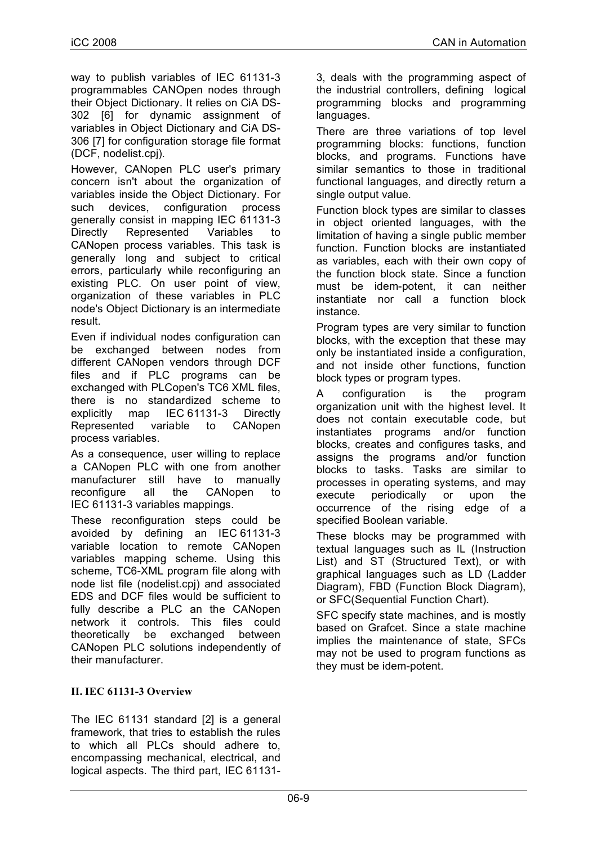way to publish variables of IEC 61131-3 programmables CANOpen nodes through their Object Dictionary. It relies on CiA DS-302 [6] for dynamic assignment of variables in Object Dictionary and CiA DS-306 [7] for configuration storage file format (DCF, nodelist.cpj).

However, CANopen PLC user's primary concern isn't about the organization of variables inside the Object Dictionary. For such devices, configuration process generally consist in mapping IEC 61131-3 Directly Represented Variables to CANopen process variables. This task is generally long and subject to critical errors, particularly while reconfiguring an existing PLC. On user point of view, organization of these variables in PLC node's Object Dictionary is an intermediate result.

Even if individual nodes configuration can be exchanged between nodes from different CANopen vendors through DCF files and if PLC programs can be exchanged with PLCopen's TC6 XML files, there is no standardized scheme to explicitly map IEC 61131-3 Directly Represented variable to CANopen process variables.

As a consequence, user willing to replace a CANopen PLC with one from another manufacturer still have to manually reconfigure all the CANopen to IEC 61131-3 variables mappings.

These reconfiguration steps could be avoided by defining an IEC 61131-3 variable location to remote CANopen variables mapping scheme. Using this scheme, TC6-XML program file along with node list file (nodelist.cpj) and associated EDS and DCF files would be sufficient to fully describe a PLC an the CANopen network it controls. This files could theoretically be exchanged between CANopen PLC solutions independently of their manufacturer.

### **II. IEC 61131-3 Overview**

The IEC 61131 standard [2] is a general framework, that tries to establish the rules to which all PLCs should adhere to, encompassing mechanical, electrical, and logical aspects. The third part, IEC 611313, deals with the programming aspect of the industrial controllers, defining logical programming blocks and programming languages.

There are three variations of top level programming blocks: functions, function blocks, and programs. Functions have similar semantics to those in traditional functional languages, and directly return a single output value.

Function block types are similar to classes in object oriented languages, with the limitation of having a single public member function. Function blocks are instantiated as variables, each with their own copy of the function block state. Since a function must be idem-potent, it can neither instantiate nor call a function block instance.

Program types are very similar to function blocks, with the exception that these may only be instantiated inside a configuration, and not inside other functions, function block types or program types.

A configuration is the program organization unit with the highest level. It does not contain executable code, but instantiates programs and/or function blocks, creates and configures tasks, and assigns the programs and/or function blocks to tasks. Tasks are similar to processes in operating systems, and may execute periodically or upon the occurrence of the rising edge of a specified Boolean variable.

These blocks may be programmed with textual languages such as IL (Instruction List) and ST (Structured Text), or with graphical languages such as LD (Ladder Diagram), FBD (Function Block Diagram), or SFC(Sequential Function Chart).

SFC specify state machines, and is mostly based on Grafcet. Since a state machine implies the maintenance of state, SFCs may not be used to program functions as they must be idem-potent.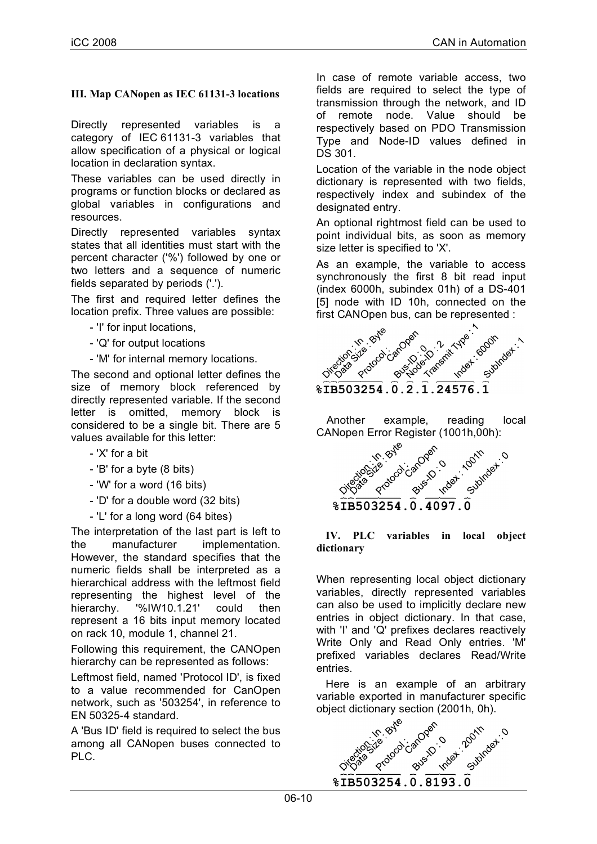### **III. Map CANopen as IEC 61131-3 locations**

Directly represented variables is a category of IEC 61131-3 variables that allow specification of a physical or logical location in declaration syntax.

These variables can be used directly in programs or function blocks or declared as global variables in configurations and resources.

Directly represented variables syntax states that all identities must start with the percent character ('%') followed by one or two letters and a sequence of numeric fields separated by periods ('.').

The first and required letter defines the location prefix. Three values are possible:

- 'I' for input locations,
- 'Q' for output locations
- 'M' for internal memory locations.

The second and optional letter defines the size of memory block referenced by directly represented variable. If the second letter is omitted, memory block is considered to be a single bit. There are 5 values available for this letter:

- 'X' for a bit
- 'B' for a byte (8 bits)
- 'W' for a word (16 bits)
- 'D' for a double word (32 bits)
- 'L' for a long word (64 bites)

The interpretation of the last part is left to the manufacturer implementation. However, the standard specifies that the numeric fields shall be interpreted as a hierarchical address with the leftmost field representing the highest level of the hierarchy. '%IW10.1.21' could then represent a 16 bits input memory located on rack 10, module 1, channel 21.

Following this requirement, the CANOpen hierarchy can be represented as follows:

Leftmost field, named 'Protocol ID', is fixed to a value recommended for CanOpen network, such as '503254', in reference to EN 50325-4 standard.

A 'Bus ID' field is required to select the bus among all CANopen buses connected to PLC.

In case of remote variable access, two fields are required to select the type of transmission through the network, and ID of remote node. Value should be respectively based on PDO Transmission Type and Node-ID values defined in DS 301.

Location of the variable in the node object dictionary is represented with two fields, respectively index and subindex of the designated entry.

An optional rightmost field can be used to point individual bits, as soon as memory size letter is specified to 'X'.

As an example, the variable to access synchronously the first 8 bit read input (index 6000h, subindex 01h) of a DS-401 [5] node with ID 10h, connected on the first CANOpen bus, can be represented :



Another example, reading local CANopen Error Register (1001h,00h):



#### **IV. PLC variables in local object dictionary**

When representing local object dictionary variables, directly represented variables can also be used to implicitly declare new entries in object dictionary. In that case, with 'I' and 'Q' prefixes declares reactively Write Only and Read Only entries. 'M' prefixed variables declares Read/Write entries.

Here is an example of an arbitrary variable exported in manufacturer specific object dictionary section (2001h, 0h).

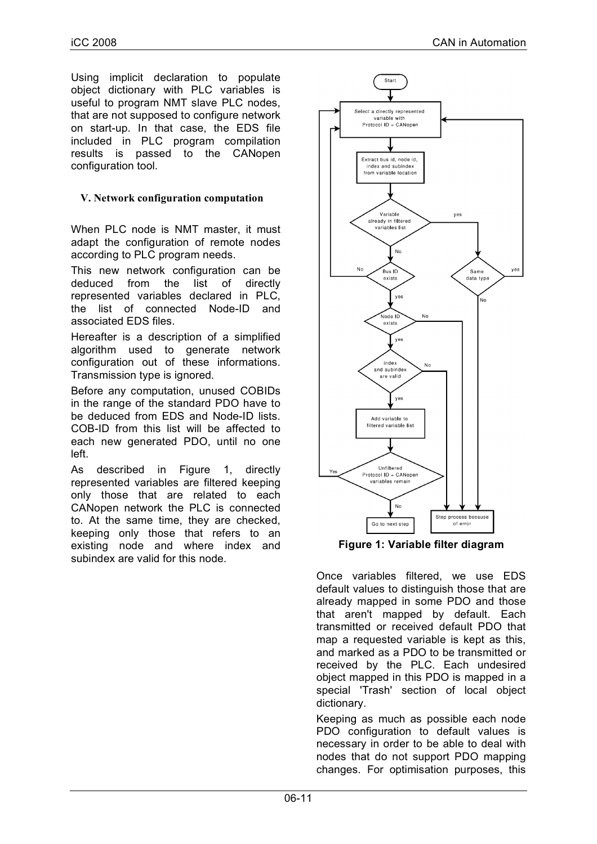Using implicit declaration to populate object dictionary with PLC variables is useful to program NMT slave PLC nodes, that are not supposed to configure network on start-up. In that case, the EDS file included in PLC program compilation results is passed to the CANopen configuration tool.

#### **V. Network configuration computation**

When PLC node is NMT master, it must adapt the configuration of remote nodes according to PLC program needs.

This new network configuration can be deduced from the list of directly represented variables declared in PLC, the list of connected Node-ID and associated EDS files.

Hereafter is a description of a simplified algorithm used to generate network configuration out of these informations. Transmission type is ignored.

Before any computation, unused COBIDs in the range of the standard PDO have to be deduced from EDS and Node-ID lists. COB-ID from this list will be affected to each new generated PDO, until no one left.

As described in Figure 1, directly represented variables are filtered keeping only those that are related to each CANopen network the PLC is connected to. At the same time, they are checked, keeping only those that refers to an existing node and where index and subindex are valid for this node.



**Figure 1: Variable filter diagram**

Once variables filtered, we use EDS default values to distinguish those that are already mapped in some PDO and those that aren't mapped by default. Each transmitted or received default PDO that map a requested variable is kept as this, and marked as a PDO to be transmitted or received by the PLC. Each undesired object mapped in this PDO is mapped in a special 'Trash' section of local object dictionary.

Keeping as much as possible each node PDO configuration to default values is necessary in order to be able to deal with nodes that do not support PDO mapping changes. For optimisation purposes, this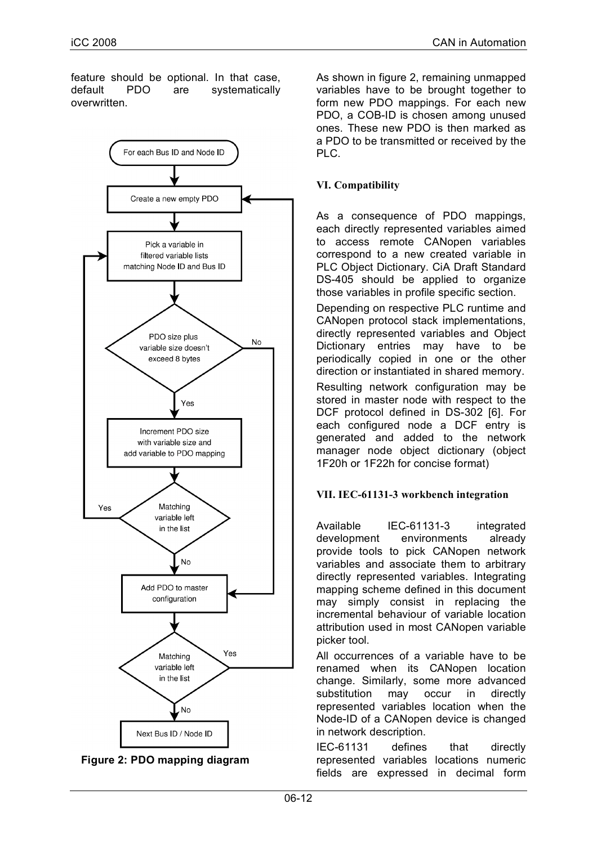feature should be optional. In that case, default PDO are systematically overwritten.





As shown in figure 2, remaining unmapped variables have to be brought together to form new PDO mappings. For each new PDO, a COB-ID is chosen among unused ones. These new PDO is then marked as a PDO to be transmitted or received by the PLC.

## **VI. Compatibility**

As a consequence of PDO mappings, each directly represented variables aimed to access remote CANopen variables correspond to a new created variable in PLC Object Dictionary. CiA Draft Standard DS-405 should be applied to organize those variables in profile specific section.

Depending on respective PLC runtime and CANopen protocol stack implementations, directly represented variables and Object Dictionary entries may have to be periodically copied in one or the other direction or instantiated in shared memory.

Resulting network configuration may be stored in master node with respect to the DCF protocol defined in DS-302 [6]. For each configured node a DCF entry is generated and added to the network manager node object dictionary (object 1F20h or 1F22h for concise format)

### **VII. IEC-61131-3 workbench integration**

Available IEC-61131-3 integrated development environments already provide tools to pick CANopen network variables and associate them to arbitrary directly represented variables. Integrating mapping scheme defined in this document may simply consist in replacing the incremental behaviour of variable location attribution used in most CANopen variable picker tool.

All occurrences of a variable have to be renamed when its CANopen location change. Similarly, some more advanced substitution may occur in directly represented variables location when the Node-ID of a CANopen device is changed in network description.

IEC-61131 defines that directly represented variables locations numeric fields are expressed in decimal form